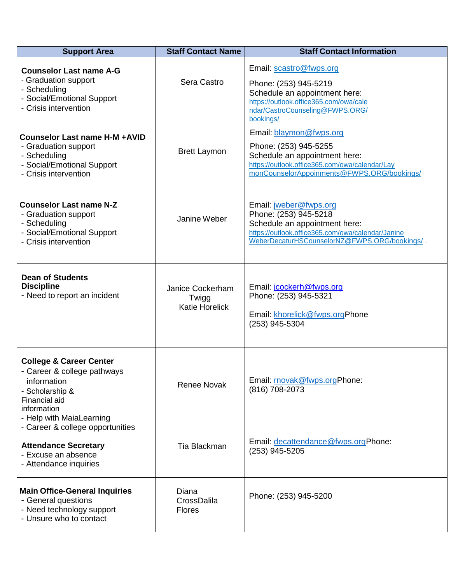| <b>Support Area</b>                                                                                                                                                                                 | <b>Staff Contact Name</b>                          | <b>Staff Contact Information</b>                                                                                                                                                       |
|-----------------------------------------------------------------------------------------------------------------------------------------------------------------------------------------------------|----------------------------------------------------|----------------------------------------------------------------------------------------------------------------------------------------------------------------------------------------|
| <b>Counselor Last name A-G</b><br>- Graduation support<br>- Scheduling<br>- Social/Emotional Support<br>- Crisis intervention                                                                       | Sera Castro                                        | Email: scastro@fwps.org<br>Phone: (253) 945-5219<br>Schedule an appointment here:<br>https://outlook.office365.com/owa/cale<br>ndar/CastroCounseling@FWPS.ORG/<br>bookings/            |
| <b>Counselor Last name H-M +AVID</b><br>- Graduation support<br>- Scheduling<br>- Social/Emotional Support<br>- Crisis intervention                                                                 | <b>Brett Laymon</b>                                | Email: blaymon@fwps.org<br>Phone: (253) 945-5255<br>Schedule an appointment here:<br>https://outlook.office365.com/owa/calendar/Lay<br>monCounselorAppoinments@FWPS.ORG/bookings/      |
| <b>Counselor Last name N-Z</b><br>- Graduation support<br>- Scheduling<br>- Social/Emotional Support<br>- Crisis intervention                                                                       | Janine Weber                                       | Email: jweber@fwps.org<br>Phone: (253) 945-5218<br>Schedule an appointment here:<br>https://outlook.office365.com/owa/calendar/Janine<br>WeberDecaturHSCounselorNZ@FWPS.ORG/bookings/. |
| <b>Dean of Students</b><br><b>Discipline</b><br>- Need to report an incident                                                                                                                        | Janice Cockerham<br>Twigg<br><b>Katie Horelick</b> | Email: jcockerh@fwps.org<br>Phone: (253) 945-5321<br>Email: khorelick@fwps.orgPhone<br>(253) 945-5304                                                                                  |
| <b>College &amp; Career Center</b><br>- Career & college pathways<br>information<br>- Scholarship &<br>Financial aid<br>information<br>- Help with MaiaLearning<br>- Career & college opportunities | <b>Renee Novak</b>                                 | Email: movak@fwps.orgPhone:<br>(816) 708-2073                                                                                                                                          |
| <b>Attendance Secretary</b><br>- Excuse an absence<br>- Attendance inquiries                                                                                                                        | Tia Blackman                                       | Email: decattendance@fwps.orgPhone:<br>(253) 945-5205                                                                                                                                  |
| <b>Main Office-General Inquiries</b><br>- General questions<br>- Need technology support<br>- Unsure who to contact                                                                                 | Diana<br>CrossDalila<br><b>Flores</b>              | Phone: (253) 945-5200                                                                                                                                                                  |